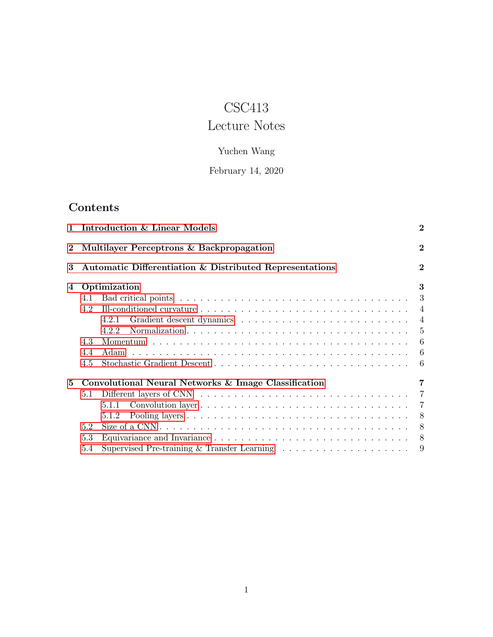# CSC413

# Lecture Notes

## Yuchen Wang

## February 14, 2020

## Contents

| $\mathbf{1}$ |                                                      | Introduction & Linear Models                                                                        | $\bf{2}$       |  |  |
|--------------|------------------------------------------------------|-----------------------------------------------------------------------------------------------------|----------------|--|--|
| $\bf{2}$     | Multilayer Perceptrons & Backpropagation             |                                                                                                     |                |  |  |
| 3            |                                                      | Automatic Differentiation & Distributed Representations                                             | $\overline{2}$ |  |  |
| 4            |                                                      | Optimization                                                                                        | 3              |  |  |
|              | 4.1                                                  |                                                                                                     | 3              |  |  |
|              | 4.2                                                  |                                                                                                     | $\overline{4}$ |  |  |
|              |                                                      | 4.2.1                                                                                               |                |  |  |
|              |                                                      | 422                                                                                                 | $\frac{5}{2}$  |  |  |
|              | 4.3                                                  |                                                                                                     |                |  |  |
|              | 44                                                   |                                                                                                     | 6              |  |  |
|              | 4.5                                                  |                                                                                                     |                |  |  |
| 5            | Convolutional Neural Networks & Image Classification |                                                                                                     |                |  |  |
|              | 5.1                                                  |                                                                                                     |                |  |  |
|              |                                                      | 5.1.1                                                                                               |                |  |  |
|              |                                                      | 5.1.2                                                                                               |                |  |  |
|              | 5.2                                                  | Size of a CNN $\ldots \ldots \ldots \ldots \ldots \ldots \ldots \ldots \ldots \ldots \ldots \ldots$ | 8              |  |  |
|              | 5.3                                                  |                                                                                                     | 8              |  |  |
|              | 5.4                                                  | Supervised Pre-training & Transfer Learning $\ldots \ldots \ldots \ldots \ldots \ldots$             | 9              |  |  |
|              |                                                      |                                                                                                     |                |  |  |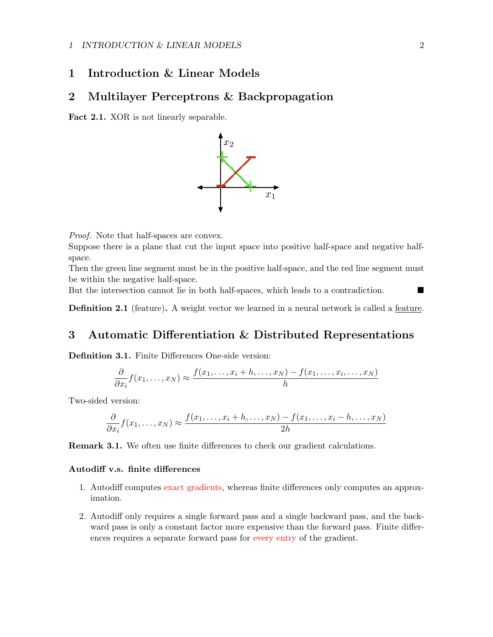### <span id="page-1-0"></span>1 Introduction & Linear Models

### <span id="page-1-1"></span>2 Multilayer Perceptrons & Backpropagation

Fact 2.1. XOR is not linearly separable.



Proof. Note that half-spaces are convex.

Suppose there is a plane that cut the input space into positive half-space and negative halfspace.

Then the green line segment must be in the positive half-space, and the red line segment must be within the negative half-space.

But the intersection cannot lie in both half-spaces, which leads to a contradiction.

Definition 2.1 (feature). A weight vector we learned in a neural network is called a feature.

## <span id="page-1-2"></span>3 Automatic Differentiation & Distributed Representations

Definition 3.1. Finite Differences One-side version:

$$
\frac{\partial}{\partial x_i} f(x_1, \dots, x_N) \approx \frac{f(x_1, \dots, x_i + h, \dots, x_N) - f(x_1, \dots, x_i, \dots, x_N)}{h}
$$

Two-sided version:

$$
\frac{\partial}{\partial x_i} f(x_1, \dots, x_N) \approx \frac{f(x_1, \dots, x_i + h, \dots, x_N) - f(x_1, \dots, x_i - h, \dots, x_N)}{2h}
$$

Remark 3.1. We often use finite differences to check our gradient calculations.

#### Autodiff v.s. finite differences

- 1. Autodiff computes exact gradients, whereas finite differences only computes an approximation.
- 2. Autodiff only requires a single forward pass and a single backward pass, and the backward pass is only a constant factor more expensive than the forward pass. Finite differences requires a separate forward pass for every entry of the gradient.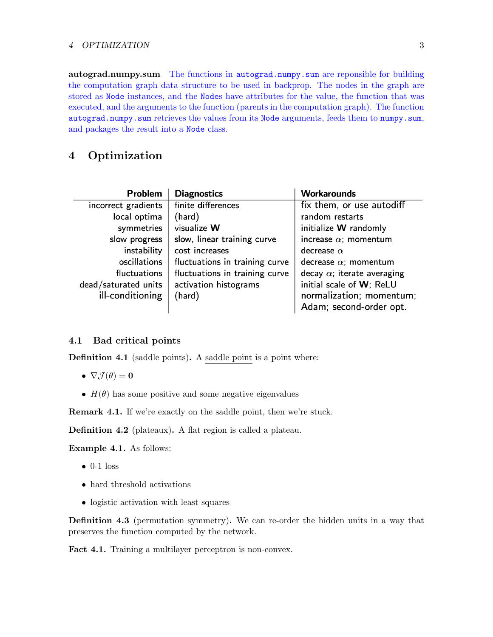autograd.numpy.sum The functions in autograd.numpy.sum are reponsible for building the computation graph data structure to be used in backprop. The nodes in the graph are stored as Node instances, and the Nodes have attributes for the value, the function that was executed, and the arguments to the function (parents in the computation graph). The function autograd.numpy.sum retrieves the values from its Node arguments, feeds them to numpy.sum, and packages the result into a Node class.

## <span id="page-2-0"></span>4 Optimization

| <b>Problem</b>       | <b>Diagnostics</b>             | <b>Workarounds</b>                 |
|----------------------|--------------------------------|------------------------------------|
| incorrect gradients  | finite differences             | fix them, or use autodiff          |
| local optima         | (hard)                         | random restarts                    |
| symmetries           | visualize W                    | initialize W randomly              |
| slow progress        | slow, linear training curve    | increase $\alpha$ ; momentum       |
| instability          | cost increases                 | decrease $\alpha$                  |
| oscillations         | fluctuations in training curve | decrease $\alpha$ ; momentum       |
| fluctuations         | fluctuations in training curve | decay $\alpha$ ; iterate averaging |
| dead/saturated units | activation histograms          | initial scale of W; ReLU           |
| ill-conditioning     | (hard)                         | normalization; momentum;           |
|                      |                                | Adam; second-order opt.            |

### <span id="page-2-1"></span>4.1 Bad critical points

Definition 4.1 (saddle points). A saddle point is a point where:

- $\nabla \mathcal{J}(\theta) = \mathbf{0}$
- $H(\theta)$  has some positive and some negative eigenvalues

Remark 4.1. If we're exactly on the saddle point, then we're stuck.

Definition 4.2 (plateaux). A flat region is called a plateau.

Example 4.1. As follows:

- $\bullet$  0-1 loss
- hard threshold activations
- logistic activation with least squares

Definition 4.3 (permutation symmetry). We can re-order the hidden units in a way that preserves the function computed by the network.

Fact 4.1. Training a multilayer perceptron is non-convex.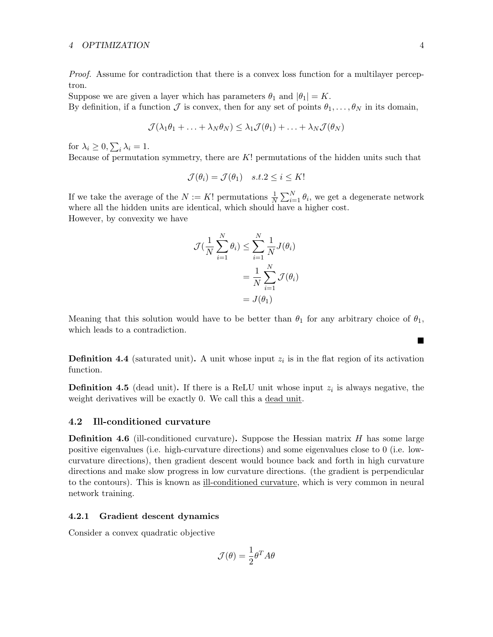Proof. Assume for contradiction that there is a convex loss function for a multilayer perceptron.

Suppose we are given a layer which has parameters  $\theta_1$  and  $|\theta_1| = K$ . By definition, if a function  $\mathcal J$  is convex, then for any set of points  $\theta_1, \ldots, \theta_N$  in its domain,

$$
\mathcal{J}(\lambda_1\theta_1 + \ldots + \lambda_N\theta_N) \leq \lambda_1\mathcal{J}(\theta_1) + \ldots + \lambda_N\mathcal{J}(\theta_N)
$$

for  $\lambda_i \geq 0$ ,  $\sum_i \lambda_i = 1$ .

Because of permutation symmetry, there are  $K!$  permutations of the hidden units such that

$$
\mathcal{J}(\theta_i) = \mathcal{J}(\theta_1) \quad s.t. 2 \le i \le K!
$$

If we take the average of the  $N := K!$  permutations  $\frac{1}{N} \sum_{i=1}^{N} \theta_i$ , we get a degenerate network where all the hidden units are identical, which should have a higher cost.

However, by convexity we have

$$
\mathcal{J}(\frac{1}{N}\sum_{i=1}^{N}\theta_{i}) \leq \sum_{i=1}^{N}\frac{1}{N}J(\theta_{i})
$$

$$
= \frac{1}{N}\sum_{i=1}^{N}\mathcal{J}(\theta_{i})
$$

$$
= J(\theta_{1})
$$

Meaning that this solution would have to be better than  $\theta_1$  for any arbitrary choice of  $\theta_1$ , which leads to a contradiction.

**Definition 4.4** (saturated unit). A unit whose input  $z_i$  is in the flat region of its activation function.

**Definition 4.5** (dead unit). If there is a ReLU unit whose input  $z_i$  is always negative, the weight derivatives will be exactly 0. We call this a dead unit.

#### <span id="page-3-0"></span>4.2 Ill-conditioned curvature

**Definition 4.6** (ill-conditioned curvature). Suppose the Hessian matrix  $H$  has some large positive eigenvalues (i.e. high-curvature directions) and some eigenvalues close to 0 (i.e. lowcurvature directions), then gradient descent would bounce back and forth in high curvature directions and make slow progress in low curvature directions. (the gradient is perpendicular to the contours). This is known as ill-conditioned curvature, which is very common in neural network training.

#### <span id="page-3-1"></span>4.2.1 Gradient descent dynamics

Consider a convex quadratic objective

$$
\mathcal{J}(\theta) = \frac{1}{2}\theta^T A \theta
$$

 $\blacksquare$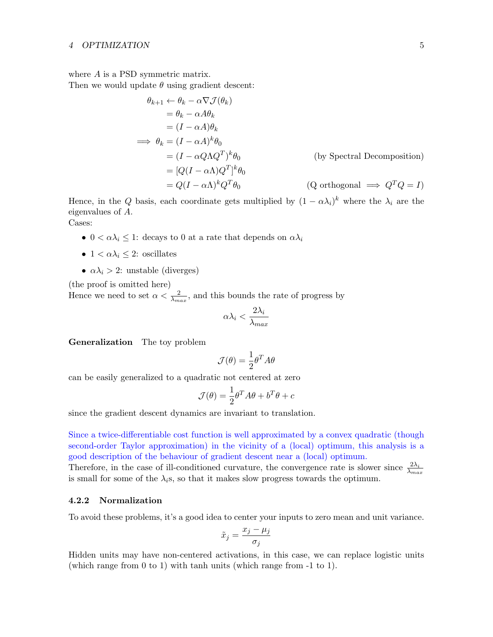where A is a PSD symmetric matrix.

Then we would update  $\theta$  using gradient descent:

$$
\theta_{k+1} \leftarrow \theta_k - \alpha \nabla \mathcal{J}(\theta_k)
$$
  
\n
$$
= \theta_k - \alpha A \theta_k
$$
  
\n
$$
= (I - \alpha A) \theta_k
$$
  
\n
$$
\implies \theta_k = (I - \alpha A)^k \theta_0
$$
  
\n
$$
= (I - \alpha Q \Lambda Q^T)^k \theta_0
$$
  
\n
$$
= [Q(I - \alpha \Lambda) Q^T]^k \theta_0
$$
  
\n
$$
= Q(I - \alpha \Lambda)^k Q^T \theta_0
$$
  
\n(Q orthogonal  $\implies Q^T Q = I$ )

Hence, in the Q basis, each coordinate gets multiplied by  $(1 - \alpha \lambda_i)^k$  where the  $\lambda_i$  are the eigenvalues of A.

Cases:

- $0 < \alpha \lambda_i \leq 1$ : decays to 0 at a rate that depends on  $\alpha \lambda_i$
- $1 < \alpha \lambda_i \leq 2$ : oscillates
- $\alpha \lambda_i > 2$ : unstable (diverges)

(the proof is omitted here)

Hence we need to set  $\alpha < \frac{2}{\lambda_{max}}$ , and this bounds the rate of progress by

$$
\alpha\lambda_i < \frac{2\lambda_i}{\lambda_{max}}
$$

Generalization The toy problem

$$
\mathcal{J}(\theta) = \frac{1}{2}\theta^T A \theta
$$

can be easily generalized to a quadratic not centered at zero

$$
\mathcal{J}(\theta) = \frac{1}{2}\theta^T A \theta + b^T \theta + c
$$

since the gradient descent dynamics are invariant to translation.

Since a twice-differentiable cost function is well approximated by a convex quadratic (though second-order Taylor approximation) in the vicinity of a (local) optimum, this analysis is a good description of the behaviour of gradient descent near a (local) optimum.

Therefore, in the case of ill-conditioned curvature, the convergence rate is slower since  $\frac{2\lambda_i}{\lambda_{max}}$ is small for some of the  $\lambda_i$ s, so that it makes slow progress towards the optimum.

#### <span id="page-4-0"></span>4.2.2 Normalization

To avoid these problems, it's a good idea to center your inputs to zero mean and unit variance.

$$
\tilde{x}_j = \frac{x_j - \mu_j}{\sigma_j}
$$

Hidden units may have non-centered activations, in this case, we can replace logistic units (which range from 0 to 1) with tanh units (which range from -1 to 1).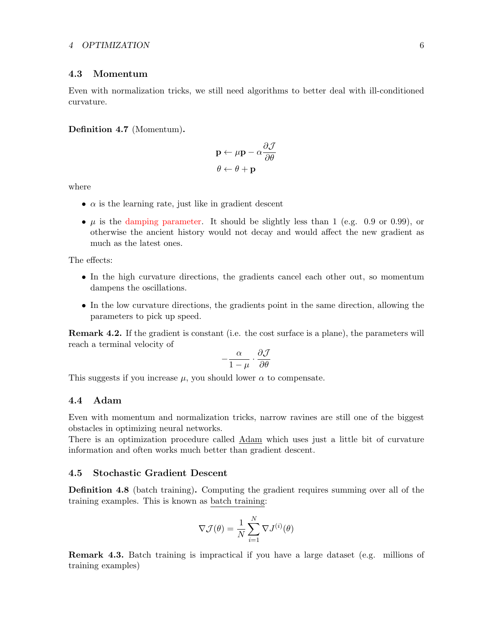#### <span id="page-5-0"></span>4.3 Momentum

Even with normalization tricks, we still need algorithms to better deal with ill-conditioned curvature.

#### Definition 4.7 (Momentum).

$$
\mathbf{p} \leftarrow \mu \mathbf{p} - \alpha \frac{\partial \mathcal{J}}{\partial \theta}
$$

$$
\theta \leftarrow \theta + \mathbf{p}
$$

where

- $\alpha$  is the learning rate, just like in gradient descent
- $\mu$  is the damping parameter. It should be slightly less than 1 (e.g. 0.9 or 0.99), or otherwise the ancient history would not decay and would affect the new gradient as much as the latest ones.

The effects:

- In the high curvature directions, the gradients cancel each other out, so momentum dampens the oscillations.
- In the low curvature directions, the gradients point in the same direction, allowing the parameters to pick up speed.

Remark 4.2. If the gradient is constant (i.e. the cost surface is a plane), the parameters will reach a terminal velocity of

$$
-\frac{\alpha}{1-\mu}\cdot\frac{\partial \mathcal{J}}{\partial \theta}
$$

This suggests if you increase  $\mu$ , you should lower  $\alpha$  to compensate.

#### <span id="page-5-1"></span>4.4 Adam

Even with momentum and normalization tricks, narrow ravines are still one of the biggest obstacles in optimizing neural networks.

There is an optimization procedure called Adam which uses just a little bit of curvature information and often works much better than gradient descent.

#### <span id="page-5-2"></span>4.5 Stochastic Gradient Descent

Definition 4.8 (batch training). Computing the gradient requires summing over all of the training examples. This is known as batch training:

$$
\nabla \mathcal{J}(\theta) = \frac{1}{N} \sum_{i=1}^{N} \nabla J^{(i)}(\theta)
$$

Remark 4.3. Batch training is impractical if you have a large dataset (e.g. millions of training examples)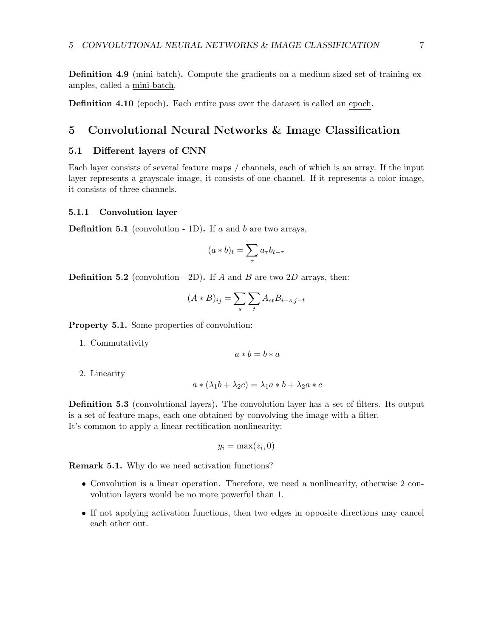Definition 4.9 (mini-batch). Compute the gradients on a medium-sized set of training examples, called a mini-batch.

Definition 4.10 (epoch). Each entire pass over the dataset is called an epoch.

### <span id="page-6-0"></span>5 Convolutional Neural Networks & Image Classification

#### <span id="page-6-1"></span>5.1 Different layers of CNN

Each layer consists of several feature maps / channels, each of which is an array. If the input layer represents a grayscale image, it consists of one channel. If it represents a color image, it consists of three channels.

#### <span id="page-6-2"></span>5.1.1 Convolution layer

**Definition 5.1** (convolution - 1D). If a and b are two arrays,

$$
(a * b)_t = \sum_{\tau} a_{\tau} b_{t-\tau}
$$

**Definition 5.2** (convolution - 2D). If A and B are two  $2D$  arrays, then:

$$
(A * B)_{ij} = \sum_{s} \sum_{t} A_{st} B_{i-s,j-t}
$$

Property 5.1. Some properties of convolution:

1. Commutativity

$$
a * b = b * a
$$

2. Linearity

$$
a * (\lambda_1 b + \lambda_2 c) = \lambda_1 a * b + \lambda_2 a * c
$$

Definition 5.3 (convolutional layers). The convolution layer has a set of filters. Its output is a set of feature maps, each one obtained by convolving the image with a filter. It's common to apply a linear rectification nonlinearity:

$$
y_i = \max(z_i, 0)
$$

Remark 5.1. Why do we need activation functions?

- Convolution is a linear operation. Therefore, we need a nonlinearity, otherwise 2 convolution layers would be no more powerful than 1.
- If not applying activation functions, then two edges in opposite directions may cancel each other out.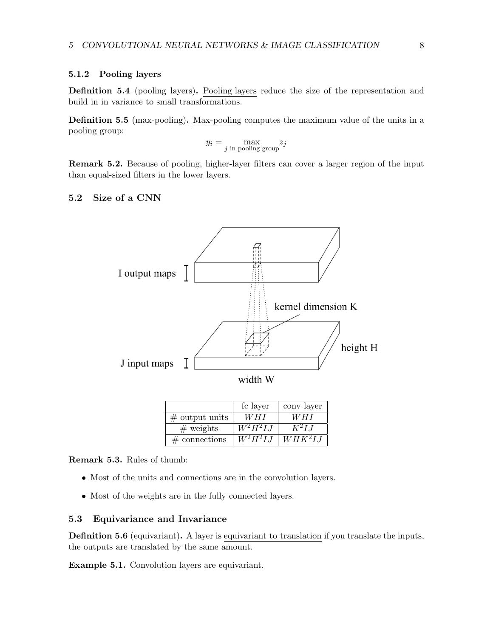#### <span id="page-7-0"></span>5.1.2 Pooling layers

Definition 5.4 (pooling layers). Pooling layers reduce the size of the representation and build in in variance to small transformations.

Definition 5.5 (max-pooling). Max-pooling computes the maximum value of the units in a pooling group:

$$
y_i = \max_{j \text{ in pooling group}} z_j
$$

Remark 5.2. Because of pooling, higher-layer filters can cover a larger region of the input than equal-sized filters in the lower layers.

#### <span id="page-7-1"></span>5.2 Size of a CNN



|                   | fc layer   | conv layer |
|-------------------|------------|------------|
| $\#$ output units | W H I      | W H I      |
| $#$ weights       | $W^2H^2IJ$ | $K^2$ L.I  |
| $\#$ connections  | $W^2H^2IJ$ | $WHK^2LI$  |

Remark 5.3. Rules of thumb:

- Most of the units and connections are in the convolution layers.
- Most of the weights are in the fully connected layers.

#### <span id="page-7-2"></span>5.3 Equivariance and Invariance

Definition 5.6 (equivariant). A layer is equivariant to translation if you translate the inputs, the outputs are translated by the same amount.

Example 5.1. Convolution layers are equivariant.